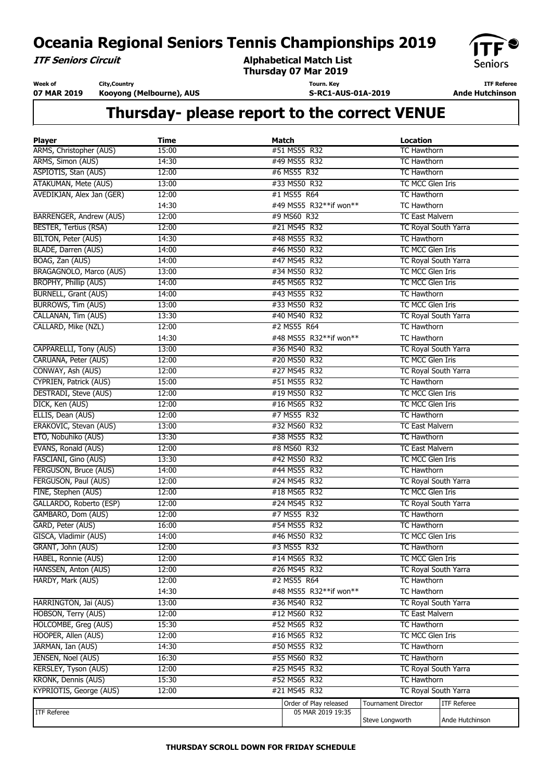**ITF Seniors Circuit**

**Alphabetical Match List Thursday 07 Mar 2019**

**Tourn. Key**

**S-RC1-AUS-01A-2019**



**ITF Referee Ande Hutchinson** 

**Week of 07 MAR 2019 City,Country**

**Kooyong (Melbourne), AUS**

| <b>Player</b>                  | <b>Time</b> | <b>Match</b>                                               | <b>Location</b>             |                    |
|--------------------------------|-------------|------------------------------------------------------------|-----------------------------|--------------------|
| ARMS, Christopher (AUS)        | 15:00       | #51 MS55 R32                                               | <b>TC Hawthorn</b>          |                    |
| <b>ARMS, Simon (AUS)</b>       | 14:30       | #49 MS55 R32                                               | <b>TC Hawthorn</b>          |                    |
| ASPIOTIS, Stan (AUS)           | 12:00       | #6 MS55 R32                                                | <b>TC Hawthorn</b>          |                    |
| <b>ATAKUMAN, Mete (AUS)</b>    | 13:00       | #33 MS50 R32                                               | TC MCC Glen Iris            |                    |
| AVEDIKJAN, Alex Jan (GER)      | 12:00       | #1 MS55 R64                                                | <b>TC Hawthorn</b>          |                    |
|                                | 14:30       | #49 MS55 R32**if won**                                     | <b>TC Hawthorn</b>          |                    |
| <b>BARRENGER, Andrew (AUS)</b> | 12:00       | #9 MS60 R32                                                | <b>TC East Malvern</b>      |                    |
| <b>BESTER, Tertius (RSA)</b>   | 12:00       | #21 MS45 R32                                               | <b>TC Royal South Yarra</b> |                    |
| BILTON, Peter (AUS)            | 14:30       | #48 MS55 R32                                               | <b>TC Hawthorn</b>          |                    |
| BLADE, Darren (AUS)            | 14:00       | #46 MS50 R32                                               | TC MCC Glen Iris            |                    |
| BOAG, Zan (AUS)                | 14:00       | #47 MS45 R32                                               | TC Royal South Yarra        |                    |
| <b>BRAGAGNOLO, Marco (AUS)</b> | 13:00       | #34 MS50 R32                                               | TC MCC Glen Iris            |                    |
| <b>BROPHY, Phillip (AUS)</b>   | 14:00       | #45 MS65 R32                                               | TC MCC Glen Iris            |                    |
| <b>BURNELL, Grant (AUS)</b>    | 14:00       | #43 MS55 R32                                               | <b>TC Hawthorn</b>          |                    |
| BURROWS, Tim (AUS)             | 13:00       | #33 MS50 R32                                               | TC MCC Glen Iris            |                    |
| CALLANAN, Tim (AUS)            | 13:30       | #40 MS40 R32                                               | TC Royal South Yarra        |                    |
| CALLARD, Mike (NZL)            | 12:00       | #2 MS55 R64                                                | <b>TC Hawthorn</b>          |                    |
|                                | 14:30       | #48 MS55 R32**if won**                                     | <b>TC Hawthorn</b>          |                    |
| CAPPARELLI, Tony (AUS)         | 13:00       | #36 MS40 R32                                               | <b>TC Royal South Yarra</b> |                    |
| CARUANA, Peter (AUS)           | 12:00       | #20 MS50 R32                                               | TC MCC Glen Iris            |                    |
| CONWAY, Ash (AUS)              | 12:00       | #27 MS45 R32                                               | TC Royal South Yarra        |                    |
| <b>CYPRIEN, Patrick (AUS)</b>  | 15:00       | #51 MS55 R32                                               | <b>TC Hawthorn</b>          |                    |
| <b>DESTRADI, Steve (AUS)</b>   | 12:00       | #19 MS50 R32                                               | TC MCC Glen Iris            |                    |
| DICK, Ken (AUS)                | 12:00       | #16 MS65 R32                                               | TC MCC Glen Iris            |                    |
| ELLIS, Dean (AUS)              | 12:00       | #7 MS55 R32                                                | <b>TC Hawthorn</b>          |                    |
| ERAKOVIC, Stevan (AUS)         | 13:00       | #32 MS60 R32                                               | <b>TC East Malvern</b>      |                    |
| ETO, Nobuhiko (AUS)            | 13:30       | #38 MS55 R32                                               | <b>TC Hawthorn</b>          |                    |
| EVANS, Ronald (AUS)            | 12:00       | #8 MS60 R32                                                | <b>TC East Malvern</b>      |                    |
| FASCIANI, Gino (AUS)           | 13:30       | #42 MS50 R32                                               | TC MCC Glen Iris            |                    |
| FERGUSON, Bruce (AUS)          | 14:00       | #44 MS55 R32                                               | <b>TC Hawthorn</b>          |                    |
| FERGUSON, Paul (AUS)           | 12:00       | #24 MS45 R32                                               | <b>TC Royal South Yarra</b> |                    |
| FINE, Stephen (AUS)            | 12:00       | #18 MS65 R32                                               | TC MCC Glen Iris            |                    |
| GALLARDO, Roberto (ESP)        | 12:00       | #24 MS45 R32                                               | TC Royal South Yarra        |                    |
| GAMBARO, Dom (AUS)             | 12:00       | #7 MS55 R32                                                | <b>TC Hawthorn</b>          |                    |
| GARD, Peter (AUS)              | 16:00       | #54 MS55 R32                                               | <b>TC Hawthorn</b>          |                    |
| GISCA, Vladimir (AUS)          | 14:00       | #46 MS50 R32                                               | TC MCC Glen Iris            |                    |
| GRANT, John (AUS)              | 12:00       | #3 MS55 R32                                                | <b>TC Hawthorn</b>          |                    |
| HABEL, Ronnie (AUS)            | 12:00       | #14 MS65 R32                                               | TC MCC Glen Iris            |                    |
| HANSSEN, Anton (AUS)           | 12:00       | #26 MS45 R32                                               | TC Royal South Yarra        |                    |
| HARDY, Mark (AUS)              | 12:00       | #2 MS55 R64                                                | <b>TC Hawthorn</b>          |                    |
|                                | 14:30       | #48 MS55 R32**if won**                                     | TC Hawthorn                 |                    |
| HARRINGTON, Jai (AUS)          | 13:00       | #36 MS40 R32                                               | TC Royal South Yarra        |                    |
| HOBSON, Terry (AUS)            | 12:00       | #12 MS60 R32                                               | <b>TC East Malvern</b>      |                    |
| HOLCOMBE, Greg (AUS)           | 15:30       | #52 MS65 R32                                               | <b>TC Hawthorn</b>          |                    |
| HOOPER, Allen (AUS)            | 12:00       | #16 MS65 R32                                               | TC MCC Glen Iris            |                    |
| JARMAN, Ian (AUS)              | 14:30       | #50 MS55 R32                                               | <b>TC Hawthorn</b>          |                    |
| JENSEN, Noel (AUS)             | 16:30       | #55 MS60 R32                                               |                             |                    |
| KERSLEY, Tyson (AUS)           | 12:00       | <b>TC Hawthorn</b><br>#25 MS45 R32<br>TC Royal South Yarra |                             |                    |
| KRONK, Dennis (AUS)            | 15:30       | #52 MS65 R32                                               | <b>TC Hawthorn</b>          |                    |
| KYPRIOTIS, George (AUS)        | 12:00       | #21 MS45 R32                                               | TC Royal South Yarra        |                    |
|                                |             |                                                            |                             |                    |
| <b>ITF Referee</b>             |             | Order of Play released<br>05 MAR 2019 19:35                | <b>Tournament Director</b>  | <b>ITF Referee</b> |
|                                |             |                                                            | Steve Longworth             | Ande Hutchinson    |
|                                |             |                                                            |                             |                    |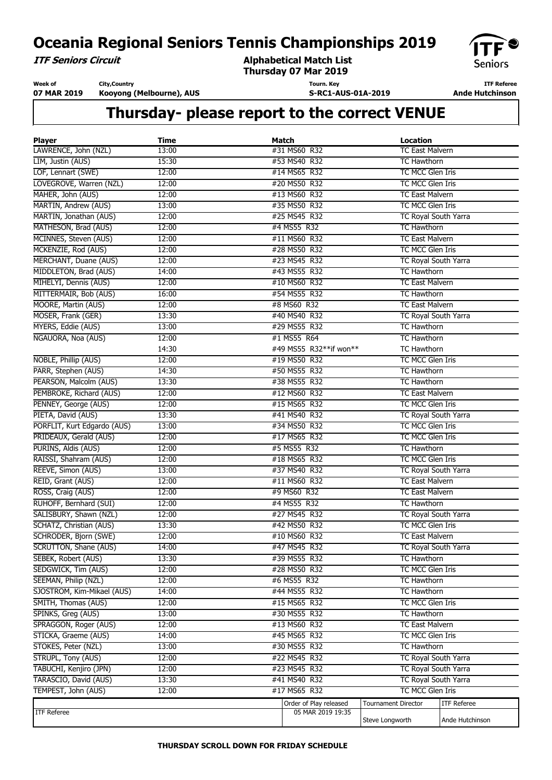**ITF Seniors Circuit**

**Week of**

**Alphabetical Match List Thursday 07 Mar 2019**

**Tourn. Key**

**S-RC1-AUS-01A-2019**



**ITF Referee Ande Hutchinson** 

**07 MAR 2019 City,Country Kooyong (Melbourne), AUS**

| Player                      | <b>Time</b> | <b>Match</b>                         | <b>Location</b>            |                    |
|-----------------------------|-------------|--------------------------------------|----------------------------|--------------------|
| LAWRENCE, John (NZL)        | 13:00       | #31 MS60 R32                         | <b>TC East Malvern</b>     |                    |
| LIM, Justin (AUS)           | 15:30       | #53 MS40 R32                         | <b>TC Hawthorn</b>         |                    |
| LOF, Lennart (SWE)          | 12:00       | #14 MS65 R32                         | TC MCC Glen Iris           |                    |
| LOVEGROVE, Warren (NZL)     | 12:00       | #20 MS50 R32                         | TC MCC Glen Iris           |                    |
| MAHER, John (AUS)           | 12:00       | #13 MS60 R32                         | <b>TC East Malvern</b>     |                    |
| MARTIN, Andrew (AUS)        | 13:00       | #35 MS50 R32                         | <b>TC MCC Glen Iris</b>    |                    |
| MARTIN, Jonathan (AUS)      | 12:00       | #25 MS45 R32                         | TC Royal South Yarra       |                    |
| MATHESON, Brad (AUS)        | 12:00       | #4 MS55 R32                          | <b>TC Hawthorn</b>         |                    |
| MCINNES, Steven (AUS)       | 12:00       | #11 MS60 R32                         | <b>TC East Malvern</b>     |                    |
| MCKENZIE, Rod (AUS)         | 12:00       | #28 MS50 R32                         | TC MCC Glen Iris           |                    |
| MERCHANT, Duane (AUS)       | 12:00       | #23 MS45 R32                         | TC Royal South Yarra       |                    |
| MIDDLETON, Brad (AUS)       | 14:00       | #43 MS55 R32                         | <b>TC Hawthorn</b>         |                    |
| MIHELYI, Dennis (AUS)       | 12:00       | #10 MS60 R32                         | <b>TC East Malvern</b>     |                    |
| MITTERMAIR, Bob (AUS)       | 16:00       | #54 MS55 R32                         | <b>TC Hawthorn</b>         |                    |
| MOORE, Martin (AUS)         | 12:00       | #8 MS60 R32                          | <b>TC East Malvern</b>     |                    |
| MOSER, Frank (GER)          | 13:30       | #40 MS40 R32                         | TC Royal South Yarra       |                    |
| MYERS, Eddie (AUS)          | 13:00       | #29 MS55 R32                         | <b>TC Hawthorn</b>         |                    |
| NGAUORA, Noa (AUS)          | 12:00       | #1 MS55 R64                          | <b>TC Hawthorn</b>         |                    |
|                             | 14:30       | #49 MS55 R32**if won**               | <b>TC Hawthorn</b>         |                    |
| NOBLE, Phillip (AUS)        | 12:00       | #19 MS50 R32                         | TC MCC Glen Iris           |                    |
| PARR, Stephen (AUS)         | 14:30       | #50 MS55 R32                         | <b>TC Hawthorn</b>         |                    |
| PEARSON, Malcolm (AUS)      |             |                                      |                            |                    |
|                             | 13:30       | #38 MS55 R32                         | <b>TC Hawthorn</b>         |                    |
| PEMBROKE, Richard (AUS)     | 12:00       | #12 MS60 R32                         | <b>TC East Malvern</b>     |                    |
| PENNEY, George (AUS)        | 12:00       | #15 MS65 R32                         | TC MCC Glen Iris           |                    |
| PIETA, David (AUS)          | 13:30       | #41 MS40 R32                         | TC Royal South Yarra       |                    |
| PORFLIT, Kurt Edgardo (AUS) | 13:00       | #34 MS50 R32                         | TC MCC Glen Iris           |                    |
| PRIDEAUX, Gerald (AUS)      | 12:00       | #17 MS65 R32                         | TC MCC Glen Iris           |                    |
| PURINS, Aldis (AUS)         | 12:00       | #5 MS55 R32                          | <b>TC Hawthorn</b>         |                    |
| RAISSI, Shahram (AUS)       | 12:00       | #18 MS65 R32                         | TC MCC Glen Iris           |                    |
| REEVE, Simon (AUS)          | 13:00       | #37 MS40 R32                         | TC Royal South Yarra       |                    |
| REID, Grant (AUS)           | 12:00       | #11 MS60 R32                         | <b>TC East Malvern</b>     |                    |
| ROSS, Craig (AUS)           | 12:00       | #9 MS60 R32                          | <b>TC East Malvern</b>     |                    |
| RUHOFF, Bernhard (SUI)      | 12:00       | #4 MS55 R32                          | <b>TC Hawthorn</b>         |                    |
| SALISBURY, Shawn (NZL)      | 12:00       | #27 MS45 R32                         | TC Royal South Yarra       |                    |
| SCHATZ, Christian (AUS)     | 13:30       | #42 MS50 R32                         | TC MCC Glen Iris           |                    |
| SCHRODER, Bjorn (SWE)       | 12:00       | #10 MS60 R32                         | <b>TC East Malvern</b>     |                    |
| SCRUTTON, Shane (AUS)       | 14:00       | #47 MS45 R32                         | TC Royal South Yarra       |                    |
| SEBEK, Robert (AUS)         | 13:30       | #39 MS55 R32                         | <b>TC Hawthorn</b>         |                    |
| SEDGWICK, Tim (AUS)         | 12:00       | #28 MS50 R32                         | TC MCC Glen Iris           |                    |
| SEEMAN, Philip (NZL)        | 12:00       | #6 MS55 R32                          | <b>TC Hawthorn</b>         |                    |
| SJOSTROM, Kim-Mikael (AUS)  | 14:00       | #44 MS55 R32                         | <b>TC Hawthorn</b>         |                    |
| SMITH, Thomas (AUS)         | 12:00       | #15 MS65 R32                         | TC MCC Glen Iris           |                    |
| SPINKS, Greg (AUS)          | 13:00       | #30 MS55 R32                         | <b>TC Hawthorn</b>         |                    |
| SPRAGGON, Roger (AUS)       | 12:00       | #13 MS60 R32                         | <b>TC East Malvern</b>     |                    |
| STICKA, Graeme (AUS)        | 14:00       | #45 MS65 R32                         | TC MCC Glen Iris           |                    |
| STOKES, Peter (NZL)         | 13:00       | #30 MS55 R32                         | <b>TC Hawthorn</b>         |                    |
| <b>STRUPL, Tony (AUS)</b>   | 12:00       | #22 MS45 R32                         | TC Royal South Yarra       |                    |
| TABUCHI, Kenjiro (JPN)      | 12:00       | #23 MS45 R32<br>TC Royal South Yarra |                            |                    |
| TARASCIO, David (AUS)       | 13:30       | #41 MS40 R32                         | TC Royal South Yarra       |                    |
| TEMPEST, John (AUS)         | 12:00       | #17 MS65 R32                         | TC MCC Glen Iris           |                    |
|                             |             | Order of Play released               | <b>Tournament Director</b> | <b>ITF Referee</b> |
| <b>ITF Referee</b>          |             | 05 MAR 2019 19:35                    |                            |                    |
|                             |             |                                      | Steve Longworth            | Ande Hutchinson    |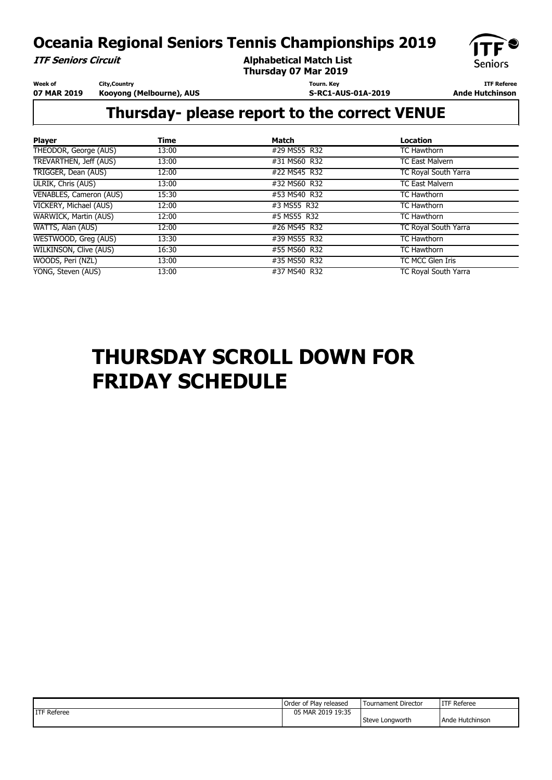**ITF Seniors Circuit**

**Week of**

**Alphabetical Match List Thursday 07 Mar 2019**

**Tourn. Key**

**S-RC1-AUS-01A-2019**



**ITF Referee Ande Hutchinson** 

**07 MAR 2019 City,Country Kooyong (Melbourne), AUS**

# **Thursday- please report to the correct VENUE**

| <b>Player</b>                  | Time  | Match        | <b>Location</b>             |
|--------------------------------|-------|--------------|-----------------------------|
| THEODOR, George (AUS)          | 13:00 | #29 MS55 R32 | TC Hawthorn                 |
| TREVARTHEN, Jeff (AUS)         | 13:00 | #31 MS60 R32 | <b>TC East Malvern</b>      |
| TRIGGER, Dean (AUS)            | 12:00 | #22 MS45 R32 | <b>TC Royal South Yarra</b> |
| ULRIK, Chris (AUS)             | 13:00 | #32 MS60 R32 | <b>TC East Malvern</b>      |
| <b>VENABLES, Cameron (AUS)</b> | 15:30 | #53 MS40 R32 | <b>TC Hawthorn</b>          |
| VICKERY, Michael (AUS)         | 12:00 | #3 MS55 R32  | <b>TC Hawthorn</b>          |
| WARWICK, Martin (AUS)          | 12:00 | #5 MS55 R32  | <b>TC Hawthorn</b>          |
| WATTS, Alan (AUS)              | 12:00 | #26 MS45 R32 | TC Royal South Yarra        |
| WESTWOOD, Greg (AUS)           | 13:30 | #39 MS55 R32 | <b>TC Hawthorn</b>          |
| WILKINSON, Clive (AUS)         | 16:30 | #55 MS60 R32 | <b>TC Hawthorn</b>          |
| WOODS, Peri (NZL)              | 13:00 | #35 MS50 R32 | TC MCC Glen Iris            |
| YONG, Steven (AUS)             | 13:00 | #37 MS40 R32 | <b>TC Royal South Yarra</b> |

# **THURSDAY SCROLL DOWN FOR FRIDAY SCHEDULE**

|                    | Order of Play released | <b>Tournament Director</b> | 'ITF Referee    |
|--------------------|------------------------|----------------------------|-----------------|
| <b>ITF Referee</b> | 05 MAR 2019 19:35      |                            |                 |
|                    |                        | Steve Longworth            | Ande Hutchinson |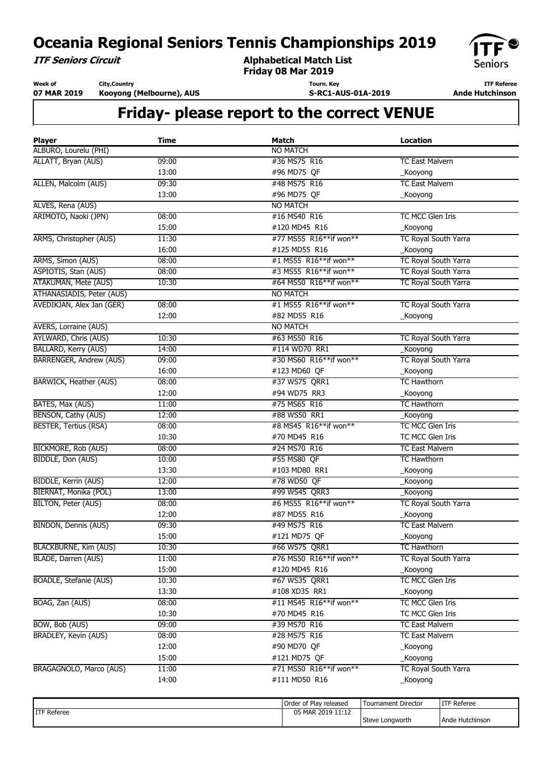**ITF Seniors Circuit**

**Week of**

**Alphabetical Match List Friday 08 Mar 2019**

**Tourn. Key**

**S-RC1-AUS-01A-2019**



**ITF Referee Ande Hutchinson** 

Steve Longworth | Ande Hutchinson

**07 MAR 2019 City,Country Kooyong (Melbourne), AUS**

| <b>Player</b>                    | Time  | <b>Match</b>           | <b>Location</b>                                  |
|----------------------------------|-------|------------------------|--------------------------------------------------|
| ALBURO, Lourelu (PHI)            |       | <b>NO MATCH</b>        |                                                  |
| ALLATT, Bryan (AUS)              | 09:00 | #36 MS75 R16           | <b>TC East Malvern</b>                           |
|                                  | 13:00 | #96 MD75 QF            | _Kooyong                                         |
| ALLEN, Malcolm (AUS)             | 09:30 | #48 MS75 R16           | <b>TC East Malvern</b>                           |
|                                  | 13:00 | #96 MD75 QF            | _Kooyong                                         |
| ALVES, Rena (AUS)                |       | <b>NO MATCH</b>        |                                                  |
| ARIMOTO, Naoki (JPN)             | 08:00 | #16 MS40 R16           | TC MCC Glen Iris                                 |
|                                  | 15:00 | #120 MD45 R16          | _Kooyong                                         |
| ARMS, Christopher (AUS)          | 11:30 | #77 MS55 R16**if won** | TC Royal South Yarra                             |
|                                  | 16:00 | #125 MD55 R16          | _Kooyong                                         |
| <b>ARMS, Simon (AUS)</b>         | 08:00 | #1 MS55 R16**if won**  | TC Royal South Yarra                             |
| ASPIOTIS, Stan (AUS)             | 08:00 | #3 MS55 R16**if won**  | TC Royal South Yarra                             |
| <b>ATAKUMAN, Mete (AUS)</b>      | 10:30 | #64 MS50 R16**if won** | TC Royal South Yarra                             |
| <b>ATHANASIADIS, Peter (AUS)</b> |       | <b>NO MATCH</b>        |                                                  |
| AVEDIKJAN, Alex Jan (GER)        | 08:00 | #1 MS55 R16**if won**  | <b>TC Royal South Yarra</b>                      |
|                                  | 12:00 | #82 MD55 R16           | _Kooyong                                         |
| <b>AVERS, Lorraine (AUS)</b>     |       | <b>NO MATCH</b>        |                                                  |
| <b>AYLWARD, Chris (AUS)</b>      | 10:30 | #63 MS50 R16           | <b>TC Royal South Yarra</b>                      |
| <b>BALLARD, Kerry (AUS)</b>      | 14:00 | #114 WD70 RR1          | _Kooyong                                         |
| <b>BARRENGER, Andrew (AUS)</b>   | 09:00 | #30 MS60 R16**if won** | TC Royal South Yarra                             |
|                                  | 16:00 | #123 MD60 QF           | _Kooyong                                         |
| BARWICK, Heather (AUS)           | 08:00 | #37 WS75 QRR1          | <b>TC Hawthorn</b>                               |
|                                  | 12:00 | #94 WD75 RR3           | _Kooyong                                         |
| BATES, Max (AUS)                 | 11:00 | #75 MS65 R16           | <b>TC Hawthorn</b>                               |
| BENSON, Cathy (AUS)              | 12:00 | #88 WS50 RR1           | _Kooyong                                         |
| <b>BESTER, Tertius (RSA)</b>     | 08:00 | #8 MS45 R16**if won**  | TC MCC Glen Iris                                 |
|                                  | 10:30 | #70 MD45 R16           | TC MCC Glen Iris                                 |
| <b>BICKMORE, Rob (AUS)</b>       | 08:00 | #24 MS70 R16           | <b>TC East Malvern</b>                           |
| BIDDLE, Don (AUS)                | 10:00 | #55 MS80 QF            | <b>TC Hawthorn</b>                               |
|                                  | 13:30 | #103 MD80 RR1          | _Kooyong                                         |
| <b>BIDDLE, Kerrin (AUS)</b>      | 12:00 | #78 WD50 QF            | _Kooyong                                         |
| BIERNAT, Monika (POL)            | 13:00 | #99 WS45 QRR3          | _Kooyong                                         |
| BILTON, Peter (AUS)              | 08:00 | #6 MS55 R16**if won**  | TC Royal South Yarra                             |
|                                  | 12:00 | #87 MD55 R16           | _Kooyong                                         |
| <b>BINDON, Dennis (AUS)</b>      | 09:30 | #49 MS75 R16           | <b>TC East Malvern</b>                           |
|                                  | 15:00 | #121 MD75 QF           |                                                  |
| <b>BLACKBURNE, Kim (AUS)</b>     | 10:30 | #66 WS75 QRR1          | _Kooyong<br><b>TC Hawthorn</b>                   |
| BLADE, Darren (AUS)              |       | #76 MS50 R16**if won** |                                                  |
|                                  | 11:00 | #120 MD45 R16          | TC Royal South Yarra                             |
|                                  | 15:00 | #67 WS35 ORR1          | _Kooyong                                         |
| BOADLE, Stefanie (AUS)           | 10:30 | #108 XD35 RR1          | TC MCC Glen Iris                                 |
|                                  | 13:30 |                        | _Kooyong                                         |
| BOAG, Zan (AUS)                  | 08:00 | #11 MS45 R16**if won** | TC MCC Glen Iris                                 |
|                                  | 10:30 | #70 MD45 R16           | TC MCC Glen Iris                                 |
| BOW, Bob (AUS)                   | 09:00 | #39 MS70 R16           | <b>TC East Malvern</b>                           |
| <b>BRADLEY, Kevin (AUS)</b>      | 08:00 | #28 MS75 R16           | <b>TC East Malvern</b>                           |
|                                  | 12:00 | #90 MD70 QF            | _Kooyong                                         |
|                                  | 15:00 | #121 MD75 QF           | _Kooyong                                         |
| BRAGAGNOLO, Marco (AUS)          | 11:00 | #71 MS50 R16**if won** | TC Royal South Yarra                             |
|                                  | 14:00 | #111 MD50 R16          | _Kooyong                                         |
|                                  |       |                        |                                                  |
|                                  |       | Order of Play released | <b>Tournament Director</b><br><b>ITF Referee</b> |
| <b>ITF</b> Referee               |       | 05 MAR 2019 11:12      |                                                  |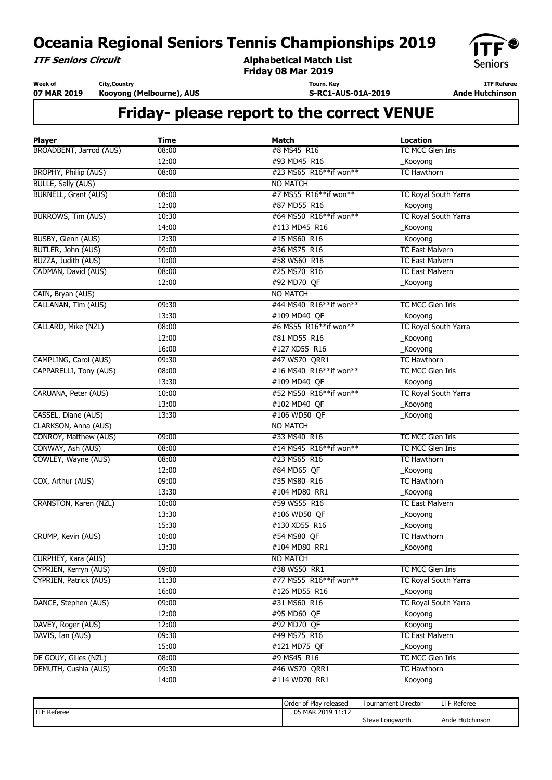**ITF Seniors Circuit**

**Week of**

**Alphabetical Match List Friday 08 Mar 2019**

**Tourn. Key**

**S-RC1-AUS-01A-2019**



**ITF Referee Ande Hutchinson** 

**07 MAR 2019 City,Country Kooyong (Melbourne), AUS**

| <b>Player</b>                 | <b>Time</b> | <b>Match</b>           | <b>Location</b>                                  |  |  |
|-------------------------------|-------------|------------------------|--------------------------------------------------|--|--|
| BROADBENT, Jarrod (AUS)       | 08:00       | #8 MS45 R16            | TC MCC Glen Iris                                 |  |  |
|                               | 12:00       | #93 MD45 R16           | _Kooyong                                         |  |  |
| <b>BROPHY, Phillip (AUS)</b>  | 08:00       | #23 MS65 R16**if won** | <b>TC Hawthorn</b>                               |  |  |
| <b>BULLE, Sally (AUS)</b>     |             | <b>NO MATCH</b>        |                                                  |  |  |
| <b>BURNELL, Grant (AUS)</b>   | 08:00       | #7 MS55 R16**if won**  | <b>TC Royal South Yarra</b>                      |  |  |
|                               | 12:00       | #87 MD55 R16           | _Kooyong                                         |  |  |
| <b>BURROWS, Tim (AUS)</b>     | 10:30       | #64 MS50 R16**if won** | TC Royal South Yarra                             |  |  |
|                               | 14:00       | #113 MD45 R16          | _Kooyong                                         |  |  |
| BUSBY, Glenn (AUS)            | 12:30       | #15 MS60 R16           | _Kooyong                                         |  |  |
| BUTLER, John (AUS)            | 09:00       | #36 MS75 R16           | <b>TC East Malvern</b>                           |  |  |
| BUZZA, Judith (AUS)           | 10:00       | #58 WS60 R16           | <b>TC East Malvern</b>                           |  |  |
| CADMAN, David (AUS)           | 08:00       | #25 MS70 R16           | <b>TC East Malvern</b>                           |  |  |
|                               | 12:00       | #92 MD70 QF            | _Kooyong                                         |  |  |
| CAIN, Bryan (AUS)             |             | <b>NO MATCH</b>        |                                                  |  |  |
| CALLANAN, Tim (AUS)           | 09:30       | #44 MS40 R16**if won** | TC MCC Glen Iris                                 |  |  |
|                               | 13:30       | #109 MD40 QF           | _Kooyong                                         |  |  |
| CALLARD, Mike (NZL)           | 08:00       | #6 MS55 R16**if won**  | TC Royal South Yarra                             |  |  |
|                               | 12:00       | #81 MD55 R16           | _Kooyong                                         |  |  |
|                               | 16:00       | #127 XD55 R16          | _Kooyong                                         |  |  |
| CAMPLING, Carol (AUS)         | 09:30       | #47 WS70 QRR1          | <b>TC Hawthorn</b>                               |  |  |
| CAPPARELLI, Tony (AUS)        | 08:00       | #16 MS40 R16**if won** | TC MCC Glen Iris                                 |  |  |
|                               | 13:30       | #109 MD40 OF           | _Kooyong                                         |  |  |
| CARUANA, Peter (AUS)          | 10:00       | #52 MS50 R16**if won** | TC Royal South Yarra                             |  |  |
|                               | 13:00       | #102 MD40 QF           | _Kooyong                                         |  |  |
| CASSEL, Diane (AUS)           | 13:30       | #106 WD50 QF           | <b>Kooyong</b>                                   |  |  |
| CLARKSON, Anna (AUS)          |             | <b>NO MATCH</b>        |                                                  |  |  |
| CONROY, Matthew (AUS)         | 09:00       | #33 MS40 R16           | TC MCC Glen Iris                                 |  |  |
| CONWAY, Ash (AUS)             | 08:00       | #14 MS45 R16**if won** | TC MCC Glen Iris                                 |  |  |
| COWLEY, Wayne (AUS)           | 08:00       | #23 MS65 R16           | <b>TC Hawthorn</b>                               |  |  |
|                               | 12:00       | #84 MD65 QF            | _Kooyong                                         |  |  |
| COX, Arthur (AUS)             | 09:00       | #35 MS80 R16           | <b>TC Hawthorn</b>                               |  |  |
|                               | 13:30       | #104 MD80 RR1          | _Kooyong                                         |  |  |
| CRANSTON, Karen (NZL)         | 10:00       | #59 WS55 R16           | <b>TC East Malvern</b>                           |  |  |
|                               | 13:30       | #106 WD50 QF           | _Kooyong                                         |  |  |
|                               | 15:30       | #130 XD55 R16          | _Kooyong                                         |  |  |
| CRUMP, Kevin (AUS)            | 10:00       | #54 MS80 QF            | <b>TC Hawthorn</b>                               |  |  |
|                               |             |                        |                                                  |  |  |
| CURPHEY, Kara (AUS)           | 13:30       | #104 MD80 RR1          | _Kooyong                                         |  |  |
|                               |             | <b>NO MATCH</b>        |                                                  |  |  |
| CYPRIEN, Kerryn (AUS)         | 09:00       | #38 WS50 RR1           | TC MCC Glen Iris                                 |  |  |
| <b>CYPRIEN, Patrick (AUS)</b> | 11:30       | #77 MS55 R16**if won** | TC Royal South Yarra                             |  |  |
|                               | 16:00       | #126 MD55 R16          | _Kooyong                                         |  |  |
| DANCE, Stephen (AUS)          | 09:00       | #31 MS60 R16           | TC Royal South Yarra                             |  |  |
|                               | 12:00       | #95 MD60 QF            | _Kooyong                                         |  |  |
| DAVEY, Roger (AUS)            | 12:00       | #92 MD70 QF            | _Kooyong                                         |  |  |
| DAVIS, Ian (AUS)              | 09:30       | #49 MS75 R16           | <b>TC East Malvern</b>                           |  |  |
|                               | 15:00       | #121 MD75 QF           | _Kooyong                                         |  |  |
| DE GOUY, Gilles (NZL)         | 08:00       | #9 MS45 R16            | TC MCC Glen Iris                                 |  |  |
| DEMUTH, Cushla (AUS)          | 09:30       | #46 WS70 QRR1          | TC Hawthorn                                      |  |  |
|                               | 14:00       | #114 WD70 RR1          | _Kooyong                                         |  |  |
|                               |             | Order of Play released | <b>Tournament Director</b><br><b>ITF Referee</b> |  |  |
| <b>ITF Referee</b>            |             | 05 MAR 2019 11:12      | Steve Longworth<br>Ande Hutchinson               |  |  |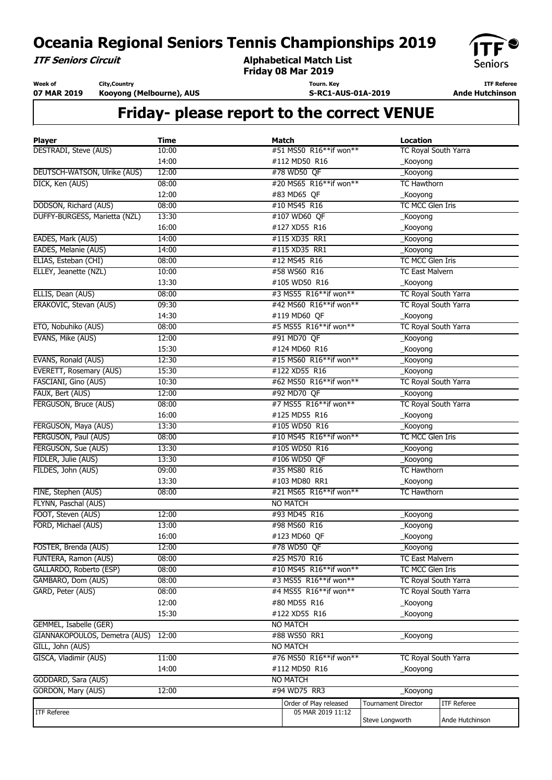**ITF Seniors Circuit**

**Week of**

**Alphabetical Match List Friday 08 Mar 2019**

**Tourn. Key**

**S-RC1-AUS-01A-2019**



**ITF Referee Ande Hutchinson** 

**07 MAR 2019 City,Country Kooyong (Melbourne), AUS**

| <b>Player</b>                       | <b>Time</b> | <b>Match</b> |                        | <b>Location</b>             |                    |
|-------------------------------------|-------------|--------------|------------------------|-----------------------------|--------------------|
| <b>DESTRADI, Steve (AUS)</b>        | 10:00       |              | #51 MS50 R16**if won** | <b>TC Royal South Yarra</b> |                    |
|                                     | 14:00       |              | #112 MD50 R16          | _Kooyong                    |                    |
| <b>DEUTSCH-WATSON, Ulrike (AUS)</b> | 12:00       |              | #78 WD50 QF            | _Kooyong                    |                    |
| DICK, Ken (AUS)                     | 08:00       |              | #20 MS65 R16**if won** | <b>TC Hawthorn</b>          |                    |
|                                     | 12:00       |              | #83 MD65 QF            | _Kooyong                    |                    |
| DODSON, Richard (AUS)               | 08:00       |              | #10 MS45 R16           | TC MCC Glen Iris            |                    |
| DUFFY-BURGESS, Marietta (NZL)       | 13:30       |              | #107 WD60 QF           | _Kooyong                    |                    |
|                                     | 16:00       |              | #127 XD55 R16          | _Kooyong                    |                    |
| EADES, Mark (AUS)                   | 14:00       |              | #115 XD35 RR1          | _Kooyong                    |                    |
| EADES, Melanie (AUS)                | 14:00       |              | #115 XD35 RR1          | _Kooyong                    |                    |
| ELIAS, Esteban (CHI)                | 08:00       |              | #12 MS45 R16           | TC MCC Glen Iris            |                    |
| ELLEY, Jeanette (NZL)               | 10:00       |              | #58 WS60 R16           | <b>TC East Malvern</b>      |                    |
|                                     | 13:30       |              | #105 WD50 R16          | _Kooyong                    |                    |
| ELLIS, Dean (AUS)                   | 08:00       |              | #3 MS55 R16**if won**  | TC Royal South Yarra        |                    |
| <b>ERAKOVIC, Stevan (AUS)</b>       | 09:30       |              | #42 MS60 R16**if won** | <b>TC Royal South Yarra</b> |                    |
|                                     | 14:30       |              | #119 MD60 QF           | _Kooyong                    |                    |
| ETO, Nobuhiko (AUS)                 | 08:00       |              | #5 MS55 R16**if won**  | <b>TC Royal South Yarra</b> |                    |
| EVANS, Mike (AUS)                   | 12:00       |              | #91 MD70 QF            | _Kooyong                    |                    |
|                                     | 15:30       |              | #124 MD60 R16          | _Kooyong                    |                    |
| EVANS, Ronald (AUS)                 | 12:30       |              | #15 MS60 R16**if won** | _Kooyong                    |                    |
| EVERETT, Rosemary (AUS)             | 15:30       |              | #122 XD55 R16          | _Kooyong                    |                    |
| FASCIANI, Gino (AUS)                | 10:30       |              | #62 MS50 R16**if won** | TC Royal South Yarra        |                    |
| FAUX, Bert (AUS)                    | 12:00       |              | #92 MD70 QF            | _Kooyong                    |                    |
| FERGUSON, Bruce (AUS)               | 08:00       |              | #7 MS55 R16**if won**  | TC Royal South Yarra        |                    |
|                                     | 16:00       |              | #125 MD55 R16          | _Kooyong                    |                    |
| FERGUSON, Maya (AUS)                | 13:30       |              | #105 WD50 R16          | _Kooyong                    |                    |
| FERGUSON, Paul (AUS)                | 08:00       |              | #10 MS45 R16**if won** | TC MCC Glen Iris            |                    |
| FERGUSON, Sue (AUS)                 | 13:30       |              | #105 WD50 R16          | _Kooyong                    |                    |
| FIDLER, Julie (AUS)                 | 13:30       |              | #106 WD50 QF           | _Kooyong                    |                    |
| FILDES, John (AUS)                  | 09:00       |              | #35 MS80 R16           | <b>TC Hawthorn</b>          |                    |
|                                     | 13:30       |              | #103 MD80 RR1          | _Kooyong                    |                    |
| FINE, Stephen (AUS)                 | 08:00       |              | #21 MS65 R16**if won** | <b>TC Hawthorn</b>          |                    |
| FLYNN, Paschal (AUS)                |             |              | <b>NO MATCH</b>        |                             |                    |
| FOOT, Steven (AUS)                  | 12:00       |              | #93 MD45 R16           | _Kooyong                    |                    |
| FORD, Michael (AUS)                 | 13:00       |              | #98 MS60 R16           | _Kooyong                    |                    |
|                                     | 16:00       |              | #123 MD60 QF           | _Kooyong                    |                    |
| FOSTER, Brenda (AUS)                | 12:00       |              | #78 WD50 QF            | _Kooyong                    |                    |
| FUNTERA, Ramon (AUS)                | 08:00       |              | #25 MS70 R16           | <b>TC East Malvern</b>      |                    |
| GALLARDO, Roberto (ESP)             | 08:00       |              | #10 MS45 R16**if won** | TC MCC Glen Iris            |                    |
| GAMBARO, Dom (AUS)                  | 08:00       |              | #3 MS55 R16**if won**  | TC Royal South Yarra        |                    |
| GARD, Peter (AUS)                   | 08:00       |              | #4 MS55 R16**if won**  | TC Royal South Yarra        |                    |
|                                     | 12:00       |              | #80 MD55 R16           | _Kooyong                    |                    |
|                                     | 15:30       |              | #122 XD55 R16          | _Kooyong                    |                    |
| GEMMEL, Isabelle (GER)              |             |              | <b>NO MATCH</b>        |                             |                    |
| GIANNAKOPOULOS, Demetra (AUS)       | 12:00       |              | #88 WS50 RR1           | <b>Kooyong</b>              |                    |
| GILL, John (AUS)                    |             |              | <b>NO MATCH</b>        |                             |                    |
| GISCA, Vladimir (AUS)               |             |              |                        |                             |                    |
|                                     | 11:00       |              | #76 MS50 R16**if won** | TC Royal South Yarra        |                    |
|                                     | 14:00       |              | #112 MD50 R16          | <b>Kooyong</b>              |                    |
| GODDARD, Sara (AUS)                 |             |              | <b>NO MATCH</b>        |                             |                    |
| GORDON, Mary (AUS)                  | 12:00       |              | #94 WD75 RR3           | _Kooyong                    |                    |
|                                     |             |              | Order of Play released | <b>Tournament Director</b>  | <b>ITF Referee</b> |
| <b>ITF Referee</b>                  |             |              | 05 MAR 2019 11:12      | Steve Longworth             | Ande Hutchinson    |
|                                     |             |              |                        |                             |                    |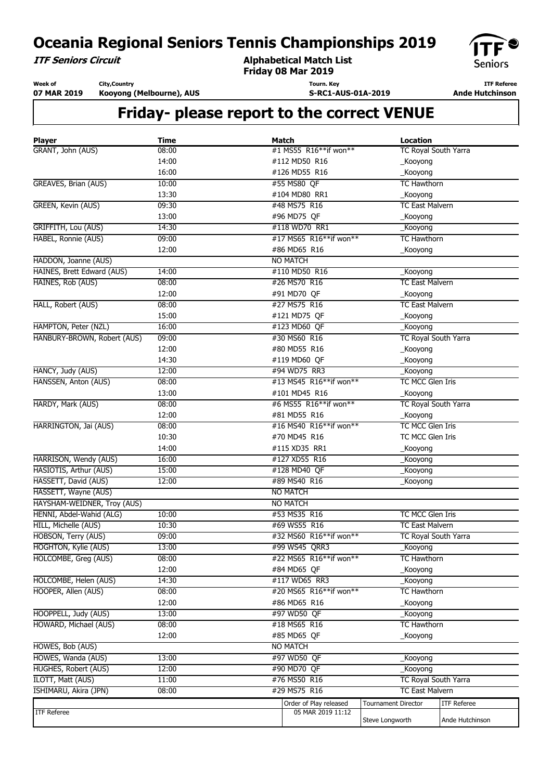**ITF Seniors Circuit**

**Week of**

**Alphabetical Match List Friday 08 Mar 2019**

**Tourn. Key**

**S-RC1-AUS-01A-2019**



**ITF Referee Ande Hutchinson** 

**07 MAR 2019 City,Country Kooyong (Melbourne), AUS**

| <b>Player</b>               | <b>Time</b> | <b>Match</b>            | <b>Location</b>             |                    |
|-----------------------------|-------------|-------------------------|-----------------------------|--------------------|
| GRANT, John (AUS)           | 08:00       | #1 MS55 R16**if won**   | <b>TC Royal South Yarra</b> |                    |
|                             | 14:00       | #112 MD50 R16           | _Kooyong                    |                    |
|                             | 16:00       | #126 MD55 R16           | _Kooyong                    |                    |
| GREAVES, Brian (AUS)        | 10:00       | #55 MS80 QF             | <b>TC Hawthorn</b>          |                    |
|                             | 13:30       | #104 MD80 RR1           | _Kooyong                    |                    |
| GREEN, Kevin (AUS)          | 09:30       | #48 MS75 R16            | <b>TC East Malvern</b>      |                    |
|                             | 13:00       | #96 MD75 QF             | _Kooyong                    |                    |
| GRIFFITH, Lou (AUS)         | 14:30       | #118 WD70 RR1           | _Kooyong                    |                    |
| HABEL, Ronnie (AUS)         | 09:00       | #17 MS65 R16**if won**  | <b>TC Hawthorn</b>          |                    |
|                             | 12:00       | #86 MD65 R16            | _Kooyong                    |                    |
| HADDON, Joanne (AUS)        |             | <b>NO MATCH</b>         |                             |                    |
| HAINES, Brett Edward (AUS)  | 14:00       | #110 MD50 R16           | _Kooyong                    |                    |
| HAINES, Rob (AUS)           | 08:00       | #26 MS70 R16            | <b>TC East Malvern</b>      |                    |
|                             | 12:00       | #91 MD70 QF             | _Kooyong                    |                    |
| HALL, Robert (AUS)          | 08:00       | #27 MS75 R16            | <b>TC East Malvern</b>      |                    |
|                             | 15:00       | #121 MD75 QF            | _Kooyong                    |                    |
| HAMPTON, Peter (NZL)        | 16:00       | #123 MD60 QF            | _Kooyong                    |                    |
| HANBURY-BROWN, Robert (AUS) | 09:00       | #30 MS60 R16            | TC Royal South Yarra        |                    |
|                             | 12:00       | #80 MD55 R16            | _Kooyong                    |                    |
|                             | 14:30       | #119 MD60 QF            | _Kooyong                    |                    |
| HANCY, Judy (AUS)           | 12:00       | #94 WD75 RR3            | _Kooyong                    |                    |
| HANSSEN, Anton (AUS)        | 08:00       | #13 MS45 R16**if won**  | TC MCC Glen Iris            |                    |
|                             | 13:00       | #101 MD45 R16           | _Kooyong                    |                    |
| HARDY, Mark (AUS)           | 08:00       | #6 MS55 R16**if won**   | TC Royal South Yarra        |                    |
|                             | 12:00       | #81 MD55 R16            | _Kooyong                    |                    |
| HARRINGTON, Jai (AUS)       | 08:00       | #16 MS40 R16**if won**  | TC MCC Glen Iris            |                    |
|                             | 10:30       | #70 MD45 R16            | TC MCC Glen Iris            |                    |
|                             | 14:00       | #115 XD35 RR1           | _Kooyong                    |                    |
| HARRISON, Wendy (AUS)       | 16:00       | #127 XD55 R16           | _Kooyong                    |                    |
| HASIOTIS, Arthur (AUS)      | 15:00       | #128 MD40 QF            | _Kooyong                    |                    |
| HASSETT, David (AUS)        | 12:00       | #89 MS40 R16            | Kooyong                     |                    |
| HASSETT, Wayne (AUS)        |             | <b>NO MATCH</b>         |                             |                    |
| HAYSHAM-WEIDNER, Troy (AUS) |             | <b>NO MATCH</b>         |                             |                    |
| HENNI, Abdel-Wahid (ALG)    | 10:00       | #53 MS35 R16            | TC MCC Glen Iris            |                    |
| <b>HILL, Michelle (AUS)</b> | 10:30       | #69 WS55 R16            | <b>TC East Malvern</b>      |                    |
| HOBSON, Terry (AUS)         | 09:00       | #32 MS60 R16**if won**  | <b>TC Royal South Yarra</b> |                    |
| HOGHTON, Kylie (AUS)        | 13:00       | #99 WS45 QRR3           | _Kooyong                    |                    |
| HOLCOMBE, Greg (AUS)        | 08:00       | #22 MS65 R16**if won**  | <b>TC Hawthorn</b>          |                    |
|                             | 12:00       | #84 MD65 OF             | _Kooyong                    |                    |
| HOLCOMBE, Helen (AUS)       | 14:30       | #117 WD65 RR3           | _Kooyong                    |                    |
| HOOPER, Allen (AUS)         | 08:00       | #20 MS65 R16**if won**  | <b>TC Hawthorn</b>          |                    |
|                             | 12:00       | #86 MD65 R16            | _Kooyong                    |                    |
| HOOPPELL, Judy (AUS)        | 13:00       | #97 WD50 QF             | _Kooyong                    |                    |
| HOWARD, Michael (AUS)       | 08:00       | #18 MS65 R16            | <b>TC Hawthorn</b>          |                    |
|                             | 12:00       | #85 MD65 QF             | <b>Kooyong</b>              |                    |
| HOWES, Bob (AUS)            |             | <b>NO MATCH</b>         |                             |                    |
| HOWES, Wanda (AUS)          | 13:00       | #97 WD50 QF             | _Kooyong                    |                    |
| <b>HUGHES, Robert (AUS)</b> | 12:00       | #90 MD70 QF<br>_Kooyong |                             |                    |
| ILOTT, Matt (AUS)           | 11:00       | #76 MS50 R16            | TC Royal South Yarra        |                    |
| ISHIMARU, Akira (JPN)       | 08:00       | #29 MS75 R16            | <b>TC East Malvern</b>      |                    |
|                             |             | Order of Play released  | <b>Tournament Director</b>  | <b>ITF Referee</b> |
| <b>ITF Referee</b>          |             | 05 MAR 2019 11:12       |                             |                    |
|                             |             |                         | Steve Longworth             | Ande Hutchinson    |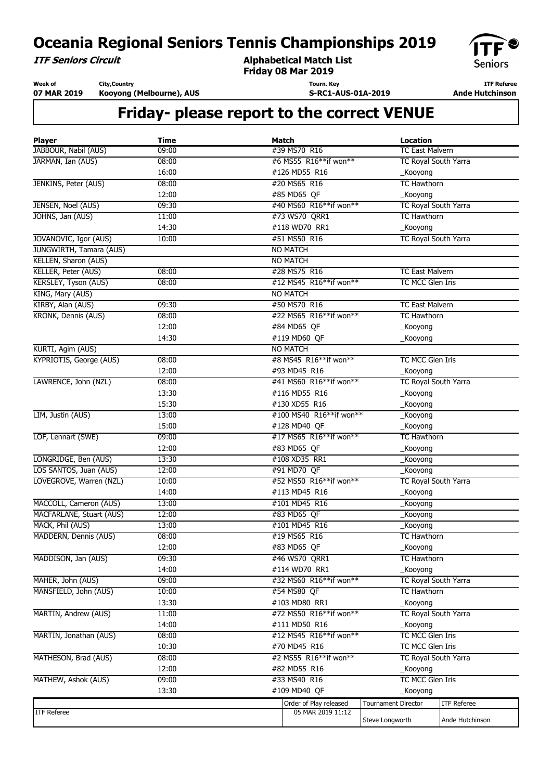**ITF Seniors Circuit**

**Week of**

**Alphabetical Match List Friday 08 Mar 2019**

**Tourn. Key**

**S-RC1-AUS-01A-2019**



**ITF Referee Ande Hutchinson** 

**07 MAR 2019 City,Country Kooyong (Melbourne), AUS**

| <b>Player</b><br>JABBOUR, Nabil (AUS) | <b>Time</b><br>09:00 | <b>Match</b><br>#39 MS70 R16 | <b>Location</b><br><b>TC East Malvern</b> |                    |
|---------------------------------------|----------------------|------------------------------|-------------------------------------------|--------------------|
| JARMAN, Ian (AUS)                     | 08:00                | #6 MS55 R16**if won**        | TC Royal South Yarra                      |                    |
|                                       | 16:00                | #126 MD55 R16                | _Kooyong                                  |                    |
| JENKINS, Peter (AUS)                  | 08:00                | #20 MS65 R16                 | <b>TC Hawthorn</b>                        |                    |
|                                       | 12:00                | #85 MD65 QF                  | _Kooyong                                  |                    |
| JENSEN, Noel (AUS)                    | 09:30                | #40 MS60 R16**if won**       | <b>TC Royal South Yarra</b>               |                    |
| JOHNS, Jan (AUS)                      | 11:00                | #73 WS70 QRR1                | <b>TC Hawthorn</b>                        |                    |
|                                       | 14:30                | #118 WD70 RR1                | _Kooyong                                  |                    |
| JOVANOVIC, Igor (AUS)                 | 10:00                | #51 MS50 R16                 | <b>TC Royal South Yarra</b>               |                    |
| JUNGWIRTH, Tamara (AUS)               |                      | <b>NO MATCH</b>              |                                           |                    |
| KELLEN, Sharon (AUS)                  |                      | <b>NO MATCH</b>              |                                           |                    |
| KELLER, Peter (AUS)                   | 08:00                | #28 MS75 R16                 | <b>TC East Malvern</b>                    |                    |
| KERSLEY, Tyson (AUS)                  | 08:00                | #12 MS45 R16**if won**       | TC MCC Glen Iris                          |                    |
| KING, Mary (AUS)                      |                      | <b>NO MATCH</b>              |                                           |                    |
| KIRBY, Alan (AUS)                     | 09:30                | #50 MS70 R16                 | <b>TC East Malvern</b>                    |                    |
| KRONK, Dennis (AUS)                   | 08:00                | #22 MS65 R16**if won**       | <b>TC Hawthorn</b>                        |                    |
|                                       | 12:00                | #84 MD65 QF                  | _Kooyong                                  |                    |
|                                       | 14:30                | #119 MD60 QF                 | _Kooyong                                  |                    |
| KURTI, Agim (AUS)                     |                      | NO MATCH                     |                                           |                    |
| KYPRIOTIS, George (AUS)               | 08:00                | #8 MS45 R16**if won**        | TC MCC Glen Iris                          |                    |
|                                       | 12:00                | #93 MD45 R16                 | _Kooyong                                  |                    |
| LAWRENCE, John (NZL)                  | 08:00                | #41 MS60 R16**if won**       | TC Royal South Yarra                      |                    |
|                                       | 13:30                | #116 MD55 R16                |                                           |                    |
|                                       | 15:30                | #130 XD55 R16                | _Kooyong                                  |                    |
|                                       |                      |                              | _Kooyong                                  |                    |
| LIM, Justin (AUS)                     | 13:00                | #100 MS40 R16**if won**      | _Kooyong                                  |                    |
|                                       | 15:00                | #128 MD40 QF                 | _Kooyong                                  |                    |
| LOF, Lennart (SWE)                    | 09:00                | #17 MS65 R16**if won**       | <b>TC Hawthorn</b>                        |                    |
|                                       | 12:00                | #83 MD65 QF                  | _Kooyong                                  |                    |
| LONGRIDGE, Ben (AUS)                  | 13:30                | #108 XD35 RR1                | _Kooyong                                  |                    |
| LOS SANTOS, Juan (AUS)                | 12:00                | #91 MD70 QF                  | _Kooyong                                  |                    |
| LOVEGROVE, Warren (NZL)               | 10:00                | #52 MS50 R16**if won**       | <b>TC Royal South Yarra</b>               |                    |
|                                       | 14:00                | #113 MD45 R16                | _Kooyong                                  |                    |
| MACCOLL, Cameron (AUS)                | 13:00                | #101 MD45 R16                | _Kooyong                                  |                    |
| MACFARLANE, Stuart (AUS)              | 12:00                | #83 MD65 QF                  | _Kooyong                                  |                    |
| MACK, Phil (AUS)                      | 13:00                | #101 MD45 R16                | _Kooyong                                  |                    |
| MADDERN, Dennis (AUS)                 | 08:00                | #19 MS65 R16                 | <b>TC Hawthorn</b>                        |                    |
|                                       | 12:00                | #83 MD65 QF                  | _Kooyong                                  |                    |
| MADDISON, Jan (AUS)                   | 09:30                | #46 WS70 QRR1                | <b>TC Hawthorn</b>                        |                    |
|                                       | 14:00                | #114 WD70 RR1                | _Kooyong                                  |                    |
| MAHER, John (AUS)                     | 09:00                | #32 MS60 R16**if won**       | TC Royal South Yarra                      |                    |
| MANSFIELD, John (AUS)                 | 10:00                | #54 MS80 OF                  | <b>TC Hawthorn</b>                        |                    |
|                                       | 13:30                | #103 MD80 RR1                | _Kooyong                                  |                    |
| MARTIN, Andrew (AUS)                  | 11:00                | #72 MS50 R16**if won**       | TC Royal South Yarra                      |                    |
|                                       | 14:00                | #111 MD50 R16                | _Kooyong                                  |                    |
| MARTIN, Jonathan (AUS)                | 08:00                | #12 MS45 R16**if won**       | TC MCC Glen Iris                          |                    |
|                                       | 10:30                | #70 MD45 R16                 | TC MCC Glen Iris                          |                    |
| MATHESON, Brad (AUS)                  | 08:00                | #2 MS55 R16**if won**        | TC Royal South Yarra                      |                    |
|                                       | 12:00                | #82 MD55 R16                 | _Kooyong                                  |                    |
| MATHEW, Ashok (AUS)                   | 09:00                | #33 MS40 R16                 | TC MCC Glen Iris                          |                    |
|                                       | 13:30                | #109 MD40 OF                 | _Kooyong                                  |                    |
|                                       |                      | Order of Play released       | <b>Tournament Director</b>                | <b>ITF Referee</b> |
| <b>ITF Referee</b>                    |                      | 05 MAR 2019 11:12            |                                           |                    |
|                                       |                      |                              | Steve Longworth                           | Ande Hutchinson    |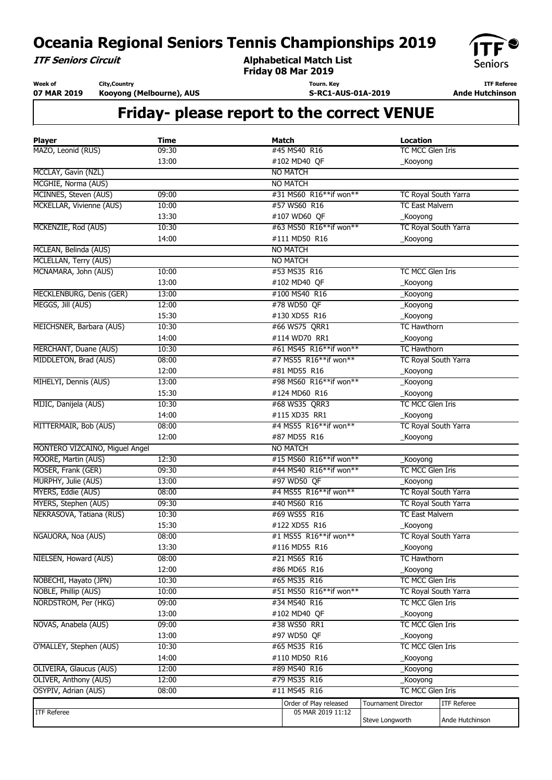**ITF Seniors Circuit**

**Week of**

**Alphabetical Match List Friday 08 Mar 2019**

**Tourn. Key**

**S-RC1-AUS-01A-2019**



**ITF Referee Ande Hutchinson** 

**07 MAR 2019 City,Country Kooyong (Melbourne), AUS**

| <b>Player</b>                  | <b>Time</b> | <b>Match</b>           | <b>Location</b>             |                    |
|--------------------------------|-------------|------------------------|-----------------------------|--------------------|
| MAZO, Leonid (RUS)             | 09:30       | #45 MS40 R16           | TC MCC Glen Iris            |                    |
|                                | 13:00       | #102 MD40 QF           | _Kooyong                    |                    |
| MCCLAY, Gavin (NZL)            |             | <b>NO MATCH</b>        |                             |                    |
| MCGHIE, Norma (AUS)            |             | <b>NO MATCH</b>        |                             |                    |
| MCINNES, Steven (AUS)          | 09:00       | #31 MS60 R16**if won** | <b>TC Royal South Yarra</b> |                    |
| MCKELLAR, Vivienne (AUS)       | 10:00       | #57 WS60 R16           | <b>TC East Malvern</b>      |                    |
|                                | 13:30       | #107 WD60 QF           | _Kooyong                    |                    |
| MCKENZIE, Rod (AUS)            | 10:30       | #63 MS50 R16**if won** | TC Royal South Yarra        |                    |
|                                | 14:00       | #111 MD50 R16          | _Kooyong                    |                    |
| MCLEAN, Belinda (AUS)          |             | <b>NO MATCH</b>        |                             |                    |
| MCLELLAN, Terry (AUS)          |             | <b>NO MATCH</b>        |                             |                    |
| MCNAMARA, John (AUS)           | 10:00       | #53 MS35 R16           | TC MCC Glen Iris            |                    |
|                                | 13:00       | #102 MD40 QF           | _Kooyong                    |                    |
| MECKLENBURG, Denis (GER)       | 13:00       | #100 MS40 R16          | _Kooyong                    |                    |
| MEGGS, Jill (AUS)              | 12:00       | #78 WD50 QF            | _Kooyong                    |                    |
|                                | 15:30       | #130 XD55 R16          | _Kooyong                    |                    |
| MEICHSNER, Barbara (AUS)       | 10:30       | #66 WS75 QRR1          | <b>TC Hawthorn</b>          |                    |
|                                | 14:00       | #114 WD70 RR1          | _Kooyong                    |                    |
| <b>MERCHANT, Duane (AUS)</b>   | 10:30       | #61 MS45 R16**if won** | <b>TC Hawthorn</b>          |                    |
| MIDDLETON, Brad (AUS)          | 08:00       | #7 MS55 R16**if won**  | TC Royal South Yarra        |                    |
|                                | 12:00       | #81 MD55 R16           | _Kooyong                    |                    |
| MIHELYI, Dennis (AUS)          | 13:00       | #98 MS60 R16**if won** | _Kooyong                    |                    |
|                                | 15:30       | #124 MD60 R16          | _Kooyong                    |                    |
| MIJIC, Danijela (AUS)          | 10:30       | #68 WS35 QRR3          | TC MCC Glen Iris            |                    |
|                                | 14:00       | #115 XD35 RR1          | _Kooyong                    |                    |
| MITTERMAIR, Bob (AUS)          | 08:00       | #4 MS55 R16**if won**  | TC Royal South Yarra        |                    |
|                                | 12:00       | #87 MD55 R16           | _Kooyong                    |                    |
| MONTERO VIZCAINO, Miguel Angel |             | <b>NO MATCH</b>        |                             |                    |
| MOORE, Martin (AUS)            | 12:30       | #15 MS60 R16**if won** | _Kooyong                    |                    |
| MOSER, Frank (GER)             | 09:30       | #44 MS40 R16**if won** | TC MCC Glen Iris            |                    |
| MURPHY, Julie (AUS)            | 13:00       | #97 WD50 QF            | _Kooyong                    |                    |
| MYERS, Eddie (AUS)             | 08:00       | #4 MS55 R16**if won**  | TC Royal South Yarra        |                    |
| MYERS, Stephen (AUS)           | 09:30       | #40 MS60 R16           | TC Royal South Yarra        |                    |
| NEKRASOVA, Tatiana (RUS)       | 10:30       | #69 WS55 R16           | <b>TC East Malvern</b>      |                    |
|                                | 15:30       | #122 XD55 R16          | _Kooyong                    |                    |
| NGAUORA, Noa (AUS)             | 08:00       | #1 MS55 R16**if won**  | TC Royal South Yarra        |                    |
|                                | 13:30       | #116 MD55 R16          | _Kooyong                    |                    |
| NIELSEN, Howard (AUS)          | 08:00       | #21 MS65 R16           | <b>TC Hawthorn</b>          |                    |
|                                | 12:00       | #86 MD65 R16           | _Kooyong                    |                    |
| NOBECHI, Hayato (JPN)          | 10:30       | #65 MS35 R16           | TC MCC Glen Iris            |                    |
| NOBLE, Phillip (AUS)           | 10:00       | #51 MS50 R16**if won** | TC Royal South Yarra        |                    |
| NORDSTROM, Per (HKG)           | 09:00       | #34 MS40 R16           | TC MCC Glen Iris            |                    |
|                                | 13:00       | #102 MD40 QF           | _Kooyong                    |                    |
| NOVAS, Anabela (AUS)           | 09:00       | #38 WS50 RR1           | TC MCC Glen Iris            |                    |
|                                | 13:00       | #97 WD50 QF            | _Kooyong                    |                    |
| O'MALLEY, Stephen (AUS)        | 10:30       | #65 MS35 R16           | TC MCC Glen Iris            |                    |
|                                | 14:00       | #110 MD50 R16          | _Kooyong                    |                    |
| OLIVEIRA, Glaucus (AUS)        | 12:00       | #89 MS40 R16           | _Kooyong                    |                    |
| OLIVER, Anthony (AUS)          | 12:00       | #79 MS35 R16           | _Kooyong                    |                    |
| OSYPIV, Adrian (AUS)           | 08:00       | #11 MS45 R16           | TC MCC Glen Iris            |                    |
|                                |             | Order of Play released | <b>Tournament Director</b>  | <b>ITF Referee</b> |
| <b>ITF Referee</b>             |             | 05 MAR 2019 11:12      |                             |                    |
|                                |             |                        | Steve Longworth             | Ande Hutchinson    |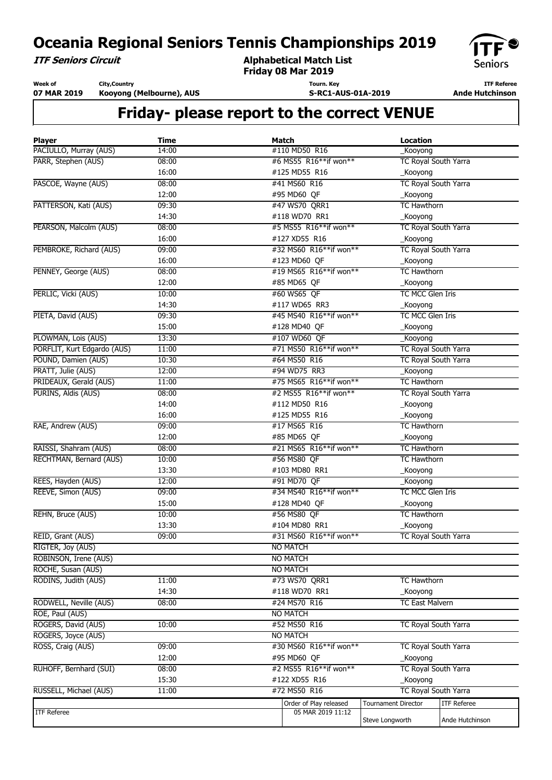**ITF Seniors Circuit**

**Week of**

**Alphabetical Match List Friday 08 Mar 2019**

**Tourn. Key**

**S-RC1-AUS-01A-2019**



**ITF Referee Ande Hutchinson** 

**07 MAR 2019 City,Country Kooyong (Melbourne), AUS**

| <b>Player</b>               | <b>Time</b> | <b>Match</b>           | <b>Location</b>             |                    |
|-----------------------------|-------------|------------------------|-----------------------------|--------------------|
| PACIULLO, Murray (AUS)      | 14:00       | #110 MD50 R16          | _Kooyong                    |                    |
| PARR, Stephen (AUS)         | 08:00       | #6 MS55 R16**if won**  | TC Royal South Yarra        |                    |
|                             | 16:00       | #125 MD55 R16          | _Kooyong                    |                    |
| PASCOE, Wayne (AUS)         | 08:00       | #41 MS60 R16           | TC Royal South Yarra        |                    |
|                             | 12:00       | #95 MD60 QF            | _Kooyong                    |                    |
| PATTERSON, Kati (AUS)       | 09:30       | #47 WS70 QRR1          | <b>TC Hawthorn</b>          |                    |
|                             | 14:30       | #118 WD70 RR1          | _Kooyong                    |                    |
| PEARSON, Malcolm (AUS)      | 08:00       | #5 MS55 R16**if won**  | TC Royal South Yarra        |                    |
|                             | 16:00       | #127 XD55 R16          | _Kooyong                    |                    |
| PEMBROKE, Richard (AUS)     | 09:00       | #32 MS60 R16**if won** | TC Royal South Yarra        |                    |
|                             | 16:00       | #123 MD60 QF           | _Kooyong                    |                    |
| PENNEY, George (AUS)        | 08:00       | #19 MS65 R16**if won** | <b>TC Hawthorn</b>          |                    |
|                             | 12:00       | #85 MD65 QF            | _Kooyong                    |                    |
| PERLIC, Vicki (AUS)         | 10:00       | #60 WS65 QF            | TC MCC Glen Iris            |                    |
|                             | 14:30       | #117 WD65 RR3          | _Kooyong                    |                    |
| PIETA, David (AUS)          | 09:30       | #45 MS40 R16**if won** | TC MCC Glen Iris            |                    |
|                             | 15:00       | #128 MD40 QF           | _Kooyong                    |                    |
| PLOWMAN, Lois (AUS)         | 13:30       | #107 WD60 QF           | _Kooyong                    |                    |
| PORFLIT, Kurt Edgardo (AUS) | 11:00       | #71 MS50 R16**if won** | TC Royal South Yarra        |                    |
| POUND, Damien (AUS)         | 10:30       | #64 MS50 R16           | TC Royal South Yarra        |                    |
| PRATT, Julie (AUS)          | 12:00       | #94 WD75 RR3           | _Kooyong                    |                    |
| PRIDEAUX, Gerald (AUS)      | 11:00       | #75 MS65 R16**if won** | <b>TC Hawthorn</b>          |                    |
| PURINS, Aldis (AUS)         | 08:00       | #2 MS55 R16**if won**  | TC Royal South Yarra        |                    |
|                             | 14:00       | #112 MD50 R16          | _Kooyong                    |                    |
|                             | 16:00       | #125 MD55 R16          | _Kooyong                    |                    |
| RAE, Andrew (AUS)           | 09:00       | #17 MS65 R16           | <b>TC Hawthorn</b>          |                    |
|                             | 12:00       | #85 MD65 QF            | _Kooyong                    |                    |
| RAISSI, Shahram (AUS)       | 08:00       | #21 MS65 R16**if won** | <b>TC Hawthorn</b>          |                    |
| RECHTMAN, Bernard (AUS)     | 10:00       | #56 MS80 QF            | <b>TC Hawthorn</b>          |                    |
|                             | 13:30       | #103 MD80 RR1          | _Kooyong                    |                    |
| REES, Hayden (AUS)          | 12:00       | #91 MD70 QF            | _Kooyong                    |                    |
| REEVE, Simon (AUS)          | 09:00       | #34 MS40 R16**if won** | TC MCC Glen Iris            |                    |
|                             | 15:00       | #128 MD40 QF           | _Kooyong                    |                    |
| REHN, Bruce (AUS)           | 10:00       | #56 MS80 QF            | <b>TC Hawthorn</b>          |                    |
|                             | 13:30       | #104 MD80 RR1          | _Kooyong                    |                    |
| REID, Grant (AUS)           | 09:00       | #31 MS60 R16**if won** | <b>TC Royal South Yarra</b> |                    |
| RIGTER, Joy (AUS)           |             | <b>NO MATCH</b>        |                             |                    |
| ROBINSON, Irene (AUS)       |             | <b>NO MATCH</b>        |                             |                    |
| ROCHE, Susan (AUS)          |             | <b>NO MATCH</b>        |                             |                    |
| RODINS, Judith (AUS)        | 11:00       | #73 WS70 QRR1          | <b>TC Hawthorn</b>          |                    |
|                             | 14:30       | #118 WD70 RR1          | _Kooyong                    |                    |
| RODWELL, Neville (AUS)      | 08:00       | #24 MS70 R16           | <b>TC East Malvern</b>      |                    |
| ROE, Paul (AUS)             |             | <b>NO MATCH</b>        |                             |                    |
| ROGERS, David (AUS)         | 10:00       | #52 MS50 R16           | TC Royal South Yarra        |                    |
| ROGERS, Joyce (AUS)         |             | <b>NO MATCH</b>        |                             |                    |
| ROSS, Craig (AUS)           | 09:00       | #30 MS60 R16**if won** | TC Royal South Yarra        |                    |
|                             | 12:00       | #95 MD60 QF            | _Kooyong                    |                    |
| RUHOFF, Bernhard (SUI)      | 08:00       | #2 MS55 R16**if won**  | TC Royal South Yarra        |                    |
|                             | 15:30       | #122 XD55 R16          | _Kooyong                    |                    |
| RUSSELL, Michael (AUS)      | 11:00       | #72 MS50 R16           | TC Royal South Yarra        |                    |
|                             |             | Order of Play released | <b>Tournament Director</b>  | <b>ITF Referee</b> |
| <b>ITF Referee</b>          |             | 05 MAR 2019 11:12      |                             |                    |
|                             |             |                        | Steve Longworth             | Ande Hutchinson    |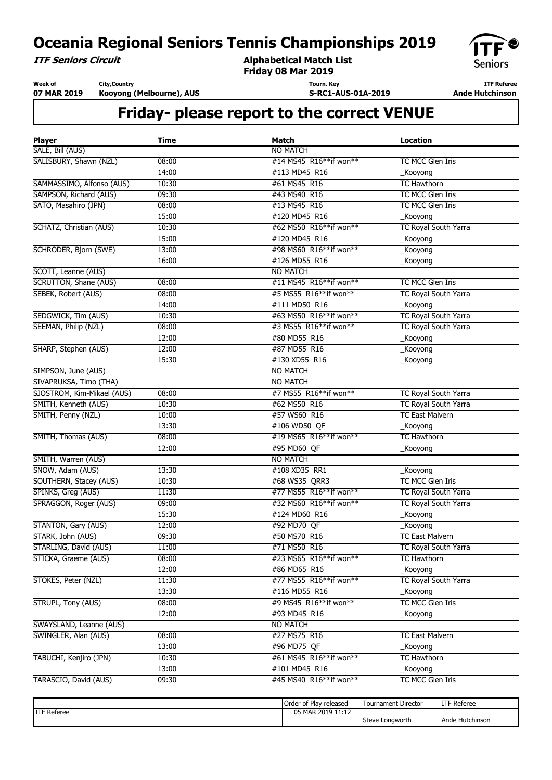**ITF Seniors Circuit**

**Week of**

**Alphabetical Match List Friday 08 Mar 2019**

**Tourn. Key**

**S-RC1-AUS-01A-2019**



**ITF Referee Ande Hutchinson** 

**07 MAR 2019 City,Country Kooyong (Melbourne), AUS**

| <b>Player</b>                | <b>Time</b> | <b>Match</b>           | <b>Location</b>                  |
|------------------------------|-------------|------------------------|----------------------------------|
| SALE, Bill (AUS)             |             | <b>NO MATCH</b>        |                                  |
| SALISBURY, Shawn (NZL)       | 08:00       | #14 MS45 R16**if won** | TC MCC Glen Iris                 |
|                              | 14:00       | #113 MD45 R16          | _Kooyong                         |
| SAMMASSIMO, Alfonso (AUS)    | 10:30       | #61 MS45 R16           | <b>TC Hawthorn</b>               |
| SAMPSON, Richard (AUS)       | 09:30       | #43 MS40 R16           | TC MCC Glen Iris                 |
| SATO, Masahiro (JPN)         | 08:00       | #13 MS45 R16           | TC MCC Glen Iris                 |
|                              | 15:00       | #120 MD45 R16          | _Kooyong                         |
| SCHATZ, Christian (AUS)      | 10:30       | #62 MS50 R16**if won** | TC Royal South Yarra             |
|                              | 15:00       | #120 MD45 R16          | _Kooyong                         |
| SCHRODER, Bjorn (SWE)        | 13:00       | #98 MS60 R16**if won** | _Kooyong                         |
|                              | 16:00       | #126 MD55 R16          | _Kooyong                         |
| SCOTT, Leanne (AUS)          |             | <b>NO MATCH</b>        |                                  |
| <b>SCRUTTON, Shane (AUS)</b> | 08:00       | #11 MS45 R16**if won** | TC MCC Glen Iris                 |
| SEBEK, Robert (AUS)          | 08:00       | #5 MS55 R16**if won**  | TC Royal South Yarra             |
|                              | 14:00       | #111 MD50 R16          | _Kooyong                         |
| SEDGWICK, Tim (AUS)          | 10:30       | #63 MS50 R16**if won** | TC Royal South Yarra             |
| SEEMAN, Philip (NZL)         | 08:00       | #3 MS55 R16**if won**  | TC Royal South Yarra             |
|                              | 12:00       | #80 MD55 R16           | _Kooyong                         |
| SHARP, Stephen (AUS)         | 12:00       | #87 MD55 R16           | _Kooyong                         |
|                              | 15:30       | #130 XD55 R16          | _Kooyong                         |
| SIMPSON, June (AUS)          |             | <b>NO MATCH</b>        |                                  |
| SIVAPRUKSA, Timo (THA)       |             | <b>NO MATCH</b>        |                                  |
| SJOSTROM, Kim-Mikael (AUS)   | 08:00       | #7 MS55 R16**if won**  | TC Royal South Yarra             |
| SMITH, Kenneth (AUS)         | 10:30       | #62 MS50 R16           | TC Royal South Yarra             |
| SMITH, Penny (NZL)           | 10:00       | #57 WS60 R16           | <b>TC East Malvern</b>           |
|                              | 13:30       | #106 WD50 QF           | _Kooyong                         |
| SMITH, Thomas (AUS)          | 08:00       | #19 MS65 R16**if won** | <b>TC Hawthorn</b>               |
|                              | 12:00       | #95 MD60 QF            | _Kooyong                         |
| SMITH, Warren (AUS)          |             | <b>NO MATCH</b>        |                                  |
| SNOW, Adam (AUS)             | 13:30       | #108 XD35 RR1          | _Kooyong                         |
| SOUTHERN, Stacey (AUS)       | 10:30       | #68 WS35 QRR3          | TC MCC Glen Iris                 |
| SPINKS, Greg (AUS)           | 11:30       | #77 MS55 R16**if won** | TC Royal South Yarra             |
| SPRAGGON, Roger (AUS)        | 09:00       | #32 MS60 R16**if won** | TC Royal South Yarra             |
|                              | 15:30       | #124 MD60 R16          | _Kooyong                         |
| STANTON, Gary (AUS)          | 12:00       | #92 MD70 OF            | $\overline{\phantom{a}}$ Kooyong |
| STARK, John (AUS)            | 09:30       | #50 MS70 R16           | <b>TC East Malvern</b>           |
| STARLING, David (AUS)        | 11:00       | #71 MS50 R16           | TC Royal South Yarra             |
| STICKA, Graeme (AUS)         | 08:00       | #23 MS65 R16**if won** | <b>TC Hawthorn</b>               |
|                              | 12:00       | #86 MD65 R16           | _Kooyong                         |
| STOKES, Peter (NZL)          | 11:30       | #77 MS55 R16**if won** | TC Royal South Yarra             |
|                              | 13:30       | #116 MD55 R16          | _Kooyong                         |
| <b>STRUPL, Tony (AUS)</b>    | 08:00       | #9 MS45 R16**if won**  | <b>TC MCC Glen Iris</b>          |
|                              | 12:00       | #93 MD45 R16           | _Kooyong                         |
| SWAYSLAND, Leanne (AUS)      |             | <b>NO MATCH</b>        |                                  |
| SWINGLER, Alan (AUS)         | 08:00       | #27 MS75 R16           | <b>TC East Malvern</b>           |
|                              | 13:00       | #96 MD75 QF            | _Kooyong                         |
| TABUCHI, Kenjiro (JPN)       | 10:30       | #61 MS45 R16**if won** | <b>TC Hawthorn</b>               |
|                              | 13:00       | #101 MD45 R16          | _Kooyong                         |
| TARASCIO, David (AUS)        | 09:30       | #45 MS40 R16**if won** | TC MCC Glen Iris                 |
|                              |             |                        |                                  |
|                              |             |                        |                                  |

|                    | Order of Play released | Tournament Director | <b>ITF Referee</b> |
|--------------------|------------------------|---------------------|--------------------|
| <b>ITF Referee</b> | 05 MAR 2019 11:12      | Steve Longworth     | l Ande Hutchinson  |
|                    |                        |                     |                    |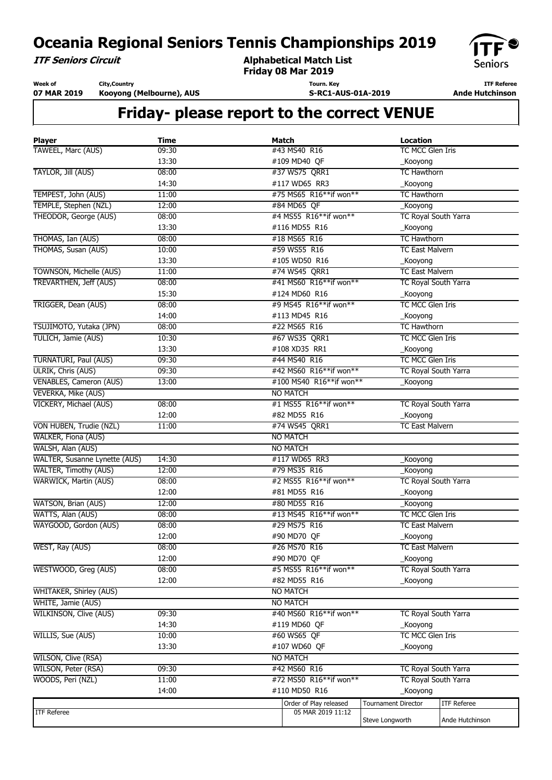**ITF Seniors Circuit**

**Week of**

**Alphabetical Match List Friday 08 Mar 2019**

**Tourn. Key**

**S-RC1-AUS-01A-2019**



**ITF Referee Ande Hutchinson** 

**07 MAR 2019 City,Country Kooyong (Melbourne), AUS**

| <b>Player</b>                  | <b>Time</b>            |  | Match                                  | <b>Location</b>                                                                    |                    |
|--------------------------------|------------------------|--|----------------------------------------|------------------------------------------------------------------------------------|--------------------|
| TAWEEL, Marc (AUS)             | 09:30                  |  | #43 MS40 R16                           | TC MCC Glen Iris                                                                   |                    |
|                                | 13:30                  |  | #109 MD40 QF                           | _Kooyong                                                                           |                    |
| TAYLOR, Jill (AUS)             | 08:00                  |  | #37 WS75 QRR1                          | <b>TC Hawthorn</b>                                                                 |                    |
|                                | 14:30                  |  | #117 WD65 RR3                          | _Kooyong                                                                           |                    |
| TEMPEST, John (AUS)            | 11:00                  |  | #75 MS65 R16**if won**                 | <b>TC Hawthorn</b>                                                                 |                    |
| TEMPLE, Stephen (NZL)          | 12:00                  |  | #84 MD65 QF                            | _Kooyong                                                                           |                    |
| THEODOR, George (AUS)          | 08:00                  |  | #4 MS55 R16**if won**                  | <b>TC Royal South Yarra</b>                                                        |                    |
|                                | 13:30                  |  | #116 MD55 R16                          | _Kooyong                                                                           |                    |
| THOMAS, Ian (AUS)              | 08:00                  |  | #18 MS65 R16                           | <b>TC Hawthorn</b>                                                                 |                    |
| THOMAS, Susan (AUS)            | 10:00                  |  | #59 WS55 R16                           | <b>TC East Malvern</b>                                                             |                    |
|                                | 13:30                  |  | #105 WD50 R16                          | _Kooyong                                                                           |                    |
| TOWNSON, Michelle (AUS)        | 11:00                  |  | #74 WS45 QRR1                          | <b>TC East Malvern</b>                                                             |                    |
| <b>TREVARTHEN, Jeff (AUS)</b>  | 08:00                  |  | #41 MS60 R16**if won**                 | TC Royal South Yarra                                                               |                    |
|                                | 15:30                  |  | #124 MD60 R16                          | _Kooyong                                                                           |                    |
| TRIGGER, Dean (AUS)            | 08:00                  |  | #9 MS45 R16**if won**                  | TC MCC Glen Iris                                                                   |                    |
|                                | 14:00                  |  | #113 MD45 R16                          | _Kooyong                                                                           |                    |
| TSUJIMOTO, Yutaka (JPN)        | 08:00                  |  | #22 MS65 R16                           | <b>TC Hawthorn</b>                                                                 |                    |
| TULICH, Jamie (AUS)            | 10:30<br>#67 WS35 QRR1 |  |                                        | TC MCC Glen Iris                                                                   |                    |
|                                | 13:30                  |  | #108 XD35 RR1                          | _Kooyong                                                                           |                    |
| <b>TURNATURI, Paul (AUS)</b>   | 09:30                  |  | #44 MS40 R16                           | TC MCC Glen Iris                                                                   |                    |
| <b>ULRIK, Chris (AUS)</b>      | 09:30                  |  | #42 MS60 R16**if won**                 | TC Royal South Yarra                                                               |                    |
| VENABLES, Cameron (AUS)        | 13:00                  |  | #100 MS40 R16**if won**                | _Kooyong                                                                           |                    |
| <b>VEVERKA, Mike (AUS)</b>     |                        |  | <b>NO MATCH</b>                        |                                                                                    |                    |
| VICKERY, Michael (AUS)         | 08:00                  |  | #1 MS55 R16**if won**                  | TC Royal South Yarra                                                               |                    |
|                                | 12:00                  |  | #82 MD55 R16                           | _Kooyong                                                                           |                    |
| VON HUBEN, Trudie (NZL)        | 11:00                  |  | #74 WS45 QRR1                          | <b>TC East Malvern</b>                                                             |                    |
| WALKER, Fiona (AUS)            |                        |  | <b>NO MATCH</b>                        |                                                                                    |                    |
| WALSH, Alan (AUS)              |                        |  | <b>NO MATCH</b>                        |                                                                                    |                    |
| WALTER, Susanne Lynette (AUS)  | 14:30                  |  | #117 WD65 RR3                          |                                                                                    |                    |
| WALTER, Timothy (AUS)          | 12:00                  |  | #79 MS35 R16                           | _Kooyong                                                                           |                    |
| WARWICK, Martin (AUS)          | 08:00                  |  | #2 MS55 R16**if won**                  | $\overline{\underline{\hspace{5pt}}\text{Kooyong}}$<br><b>TC Royal South Yarra</b> |                    |
|                                |                        |  | #81 MD55 R16                           |                                                                                    |                    |
|                                | 12:00                  |  |                                        | _Kooyong                                                                           |                    |
| WATSON, Brian (AUS)            | 12:00                  |  | #80 MD55 R16<br>#13 MS45 R16**if won** | _Kooyong                                                                           |                    |
| WATTS, Alan (AUS)              | 08:00                  |  |                                        | TC MCC Glen Iris                                                                   |                    |
| WAYGOOD, Gordon (AUS)          | 08:00                  |  | #29 MS75 R16                           | <b>TC East Malvern</b>                                                             |                    |
|                                | 12:00                  |  | #90 MD70 QF                            | _Kooyong                                                                           |                    |
| WEST, Ray (AUS)                | 08:00                  |  | #26 MS70 R16                           | <b>TC East Malvern</b>                                                             |                    |
|                                | 12:00                  |  | #90 MD70 QF                            | _Kooyong                                                                           |                    |
| WESTWOOD, Greg (AUS)           | 08:00                  |  | #5 MS55 R16**if won**                  | TC Royal South Yarra                                                               |                    |
|                                | 12:00                  |  | #82 MD55 R16                           | _Kooyong                                                                           |                    |
| <b>WHITAKER, Shirley (AUS)</b> |                        |  | <b>NO MATCH</b>                        |                                                                                    |                    |
| WHITE, Jamie (AUS)             |                        |  | <b>NO MATCH</b>                        |                                                                                    |                    |
| <b>WILKINSON, Clive (AUS)</b>  | 09:30                  |  | #40 MS60 R16**if won**                 | TC Royal South Yarra                                                               |                    |
|                                | 14:30                  |  | #119 MD60 QF                           | _Kooyong                                                                           |                    |
| WILLIS, Sue (AUS)              | 10:00                  |  | #60 WS65 QF                            | TC MCC Glen Iris                                                                   |                    |
|                                | 13:30                  |  | #107 WD60 OF                           | Kooyong                                                                            |                    |
| WILSON, Clive (RSA)            |                        |  | <b>NO MATCH</b>                        |                                                                                    |                    |
| WILSON, Peter (RSA)            | 09:30                  |  | #42 MS60 R16                           | TC Royal South Yarra                                                               |                    |
| WOODS, Peri (NZL)              | 11:00                  |  | #72 MS50 R16**if won**                 | TC Royal South Yarra                                                               |                    |
|                                | 14:00                  |  | #110 MD50 R16                          | _Kooyong                                                                           |                    |
|                                |                        |  | Order of Play released                 | <b>Tournament Director</b>                                                         | <b>ITF Referee</b> |
| <b>ITF Referee</b>             |                        |  | 05 MAR 2019 11:12                      |                                                                                    |                    |
|                                |                        |  |                                        | Steve Longworth                                                                    | Ande Hutchinson    |